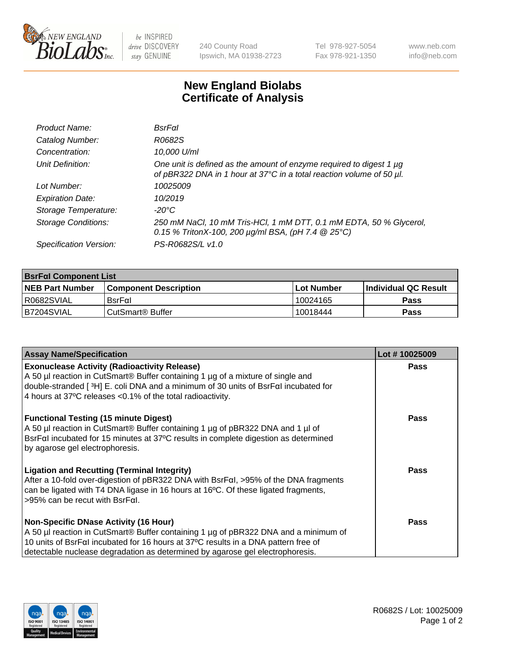

 $be$  INSPIRED drive DISCOVERY stay GENUINE

240 County Road Ipswich, MA 01938-2723 Tel 978-927-5054 Fax 978-921-1350 www.neb.com info@neb.com

## **New England Biolabs Certificate of Analysis**

| Product Name:              | BsrFal                                                                                                                                           |
|----------------------------|--------------------------------------------------------------------------------------------------------------------------------------------------|
| Catalog Number:            | R0682S                                                                                                                                           |
| Concentration:             | 10,000 U/ml                                                                                                                                      |
| Unit Definition:           | One unit is defined as the amount of enzyme required to digest 1 $\mu$ g<br>of pBR322 DNA in 1 hour at 37°C in a total reaction volume of 50 µl. |
| Lot Number:                | 10025009                                                                                                                                         |
| <b>Expiration Date:</b>    | 10/2019                                                                                                                                          |
| Storage Temperature:       | $-20^{\circ}$ C                                                                                                                                  |
| <b>Storage Conditions:</b> | 250 mM NaCl, 10 mM Tris-HCl, 1 mM DTT, 0.1 mM EDTA, 50 % Glycerol,<br>0.15 % TritonX-100, 200 $\mu$ g/ml BSA, (pH 7.4 $\circledR$ 25°C)          |
| Specification Version:     | PS-R0682S/L v1.0                                                                                                                                 |

| <b>BsrFal Component List</b> |                              |                   |                             |  |  |
|------------------------------|------------------------------|-------------------|-----------------------------|--|--|
| <b>NEB Part Number</b>       | <b>Component Description</b> | <b>Lot Number</b> | <b>Individual QC Result</b> |  |  |
| I R0682SVIAL                 | $BsrF\alpha I$               | 10024165          | <b>Pass</b>                 |  |  |
| B7204SVIAL                   | l CutSmart® Buffer           | 10018444          | Pass                        |  |  |

| <b>Assay Name/Specification</b>                                                                                                                                                                                                                                                            | Lot #10025009 |
|--------------------------------------------------------------------------------------------------------------------------------------------------------------------------------------------------------------------------------------------------------------------------------------------|---------------|
| <b>Exonuclease Activity (Radioactivity Release)</b><br>A 50 µl reaction in CutSmart® Buffer containing 1 µg of a mixture of single and<br>double-stranded [3H] E. coli DNA and a minimum of 30 units of BsrFal incubated for<br>4 hours at 37°C releases <0.1% of the total radioactivity. | Pass          |
| <b>Functional Testing (15 minute Digest)</b><br>A 50 µl reaction in CutSmart® Buffer containing 1 µg of pBR322 DNA and 1 µl of<br>BsrFal incubated for 15 minutes at 37°C results in complete digestion as determined<br>by agarose gel electrophoresis.                                   | Pass          |
| <b>Ligation and Recutting (Terminal Integrity)</b><br>After a 10-fold over-digestion of pBR322 DNA with BsrFal, >95% of the DNA fragments<br>can be ligated with T4 DNA ligase in 16 hours at 16°C. Of these ligated fragments,<br>$>95\%$ can be recut with BsrFal.                       | Pass          |
| <b>Non-Specific DNase Activity (16 Hour)</b>                                                                                                                                                                                                                                               | Pass          |
| A 50 µl reaction in CutSmart <sup>®</sup> Buffer containing 1 µg of pBR322 DNA and a minimum of                                                                                                                                                                                            |               |
| 10 units of BsrFaI incubated for 16 hours at 37°C results in a DNA pattern free of<br>detectable nuclease degradation as determined by agarose gel electrophoresis.                                                                                                                        |               |